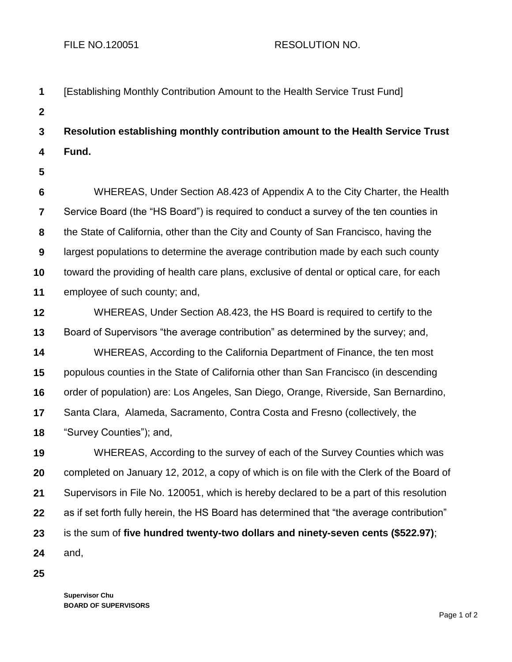| 1                       | [Establishing Monthly Contribution Amount to the Health Service Trust Fund]               |
|-------------------------|-------------------------------------------------------------------------------------------|
| $\boldsymbol{2}$        |                                                                                           |
| $\mathbf{3}$            | Resolution establishing monthly contribution amount to the Health Service Trust           |
| 4                       | Fund.                                                                                     |
| 5                       |                                                                                           |
| $6\phantom{1}6$         | WHEREAS, Under Section A8.423 of Appendix A to the City Charter, the Health               |
| $\overline{\mathbf{7}}$ | Service Board (the "HS Board") is required to conduct a survey of the ten counties in     |
| 8                       | the State of California, other than the City and County of San Francisco, having the      |
| 9                       | largest populations to determine the average contribution made by each such county        |
| 10                      | toward the providing of health care plans, exclusive of dental or optical care, for each  |
| 11                      | employee of such county; and,                                                             |
| 12                      | WHEREAS, Under Section A8.423, the HS Board is required to certify to the                 |
| 13                      | Board of Supervisors "the average contribution" as determined by the survey; and,         |
| 14                      | WHEREAS, According to the California Department of Finance, the ten most                  |
| 15                      | populous counties in the State of California other than San Francisco (in descending      |
| 16                      | order of population) are: Los Angeles, San Diego, Orange, Riverside, San Bernardino,      |
| 17                      | Santa Clara, Alameda, Sacramento, Contra Costa and Fresno (collectively, the              |
| 18                      | "Survey Counties"); and,                                                                  |
| 19                      | WHEREAS, According to the survey of each of the Survey Counties which was                 |
| 20                      | completed on January 12, 2012, a copy of which is on file with the Clerk of the Board of  |
| 21                      | Supervisors in File No. 120051, which is hereby declared to be a part of this resolution  |
| 22                      | as if set forth fully herein, the HS Board has determined that "the average contribution" |
| 23                      | is the sum of five hundred twenty-two dollars and ninety-seven cents (\$522.97);          |
| 24                      | and,                                                                                      |

**25**